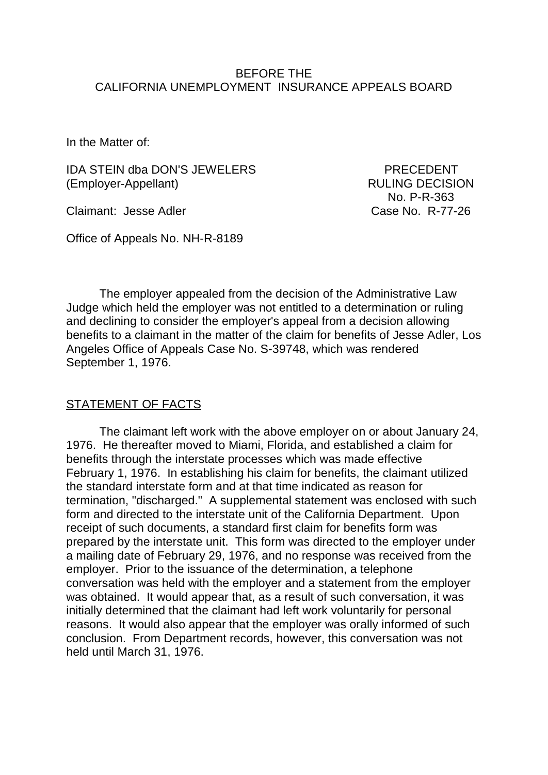#### BEFORE THE CALIFORNIA UNEMPLOYMENT INSURANCE APPEALS BOARD

In the Matter of:

IDA STEIN dba DON'S JEWELERS PRECEDENT (Employer-Appellant) RULING DECISION

Claimant: Jesse Adler Claimant: Jesse Adler

Office of Appeals No. NH-R-8189

No. P-R-363

The employer appealed from the decision of the Administrative Law Judge which held the employer was not entitled to a determination or ruling and declining to consider the employer's appeal from a decision allowing benefits to a claimant in the matter of the claim for benefits of Jesse Adler, Los Angeles Office of Appeals Case No. S-39748, which was rendered September 1, 1976.

## STATEMENT OF FACTS

The claimant left work with the above employer on or about January 24, 1976. He thereafter moved to Miami, Florida, and established a claim for benefits through the interstate processes which was made effective February 1, 1976. In establishing his claim for benefits, the claimant utilized the standard interstate form and at that time indicated as reason for termination, "discharged." A supplemental statement was enclosed with such form and directed to the interstate unit of the California Department. Upon receipt of such documents, a standard first claim for benefits form was prepared by the interstate unit. This form was directed to the employer under a mailing date of February 29, 1976, and no response was received from the employer. Prior to the issuance of the determination, a telephone conversation was held with the employer and a statement from the employer was obtained. It would appear that, as a result of such conversation, it was initially determined that the claimant had left work voluntarily for personal reasons. It would also appear that the employer was orally informed of such conclusion. From Department records, however, this conversation was not held until March 31, 1976.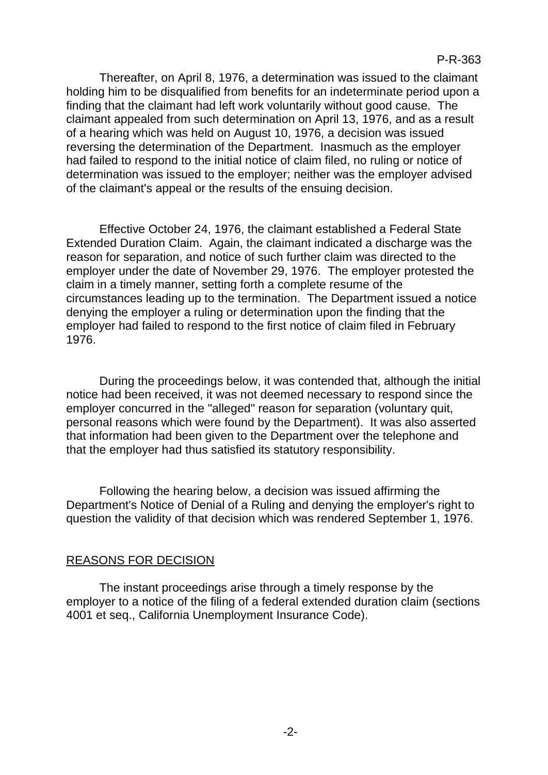Thereafter, on April 8, 1976, a determination was issued to the claimant holding him to be disqualified from benefits for an indeterminate period upon a finding that the claimant had left work voluntarily without good cause. The claimant appealed from such determination on April 13, 1976, and as a result of a hearing which was held on August 10, 1976, a decision was issued reversing the determination of the Department. Inasmuch as the employer had failed to respond to the initial notice of claim filed, no ruling or notice of determination was issued to the employer; neither was the employer advised of the claimant's appeal or the results of the ensuing decision.

Effective October 24, 1976, the claimant established a Federal State Extended Duration Claim. Again, the claimant indicated a discharge was the reason for separation, and notice of such further claim was directed to the employer under the date of November 29, 1976. The employer protested the claim in a timely manner, setting forth a complete resume of the circumstances leading up to the termination. The Department issued a notice denying the employer a ruling or determination upon the finding that the employer had failed to respond to the first notice of claim filed in February 1976.

During the proceedings below, it was contended that, although the initial notice had been received, it was not deemed necessary to respond since the employer concurred in the "alleged" reason for separation (voluntary quit, personal reasons which were found by the Department). It was also asserted that information had been given to the Department over the telephone and that the employer had thus satisfied its statutory responsibility.

Following the hearing below, a decision was issued affirming the Department's Notice of Denial of a Ruling and denying the employer's right to question the validity of that decision which was rendered September 1, 1976.

## REASONS FOR DECISION

The instant proceedings arise through a timely response by the employer to a notice of the filing of a federal extended duration claim (sections 4001 et seq., California Unemployment Insurance Code).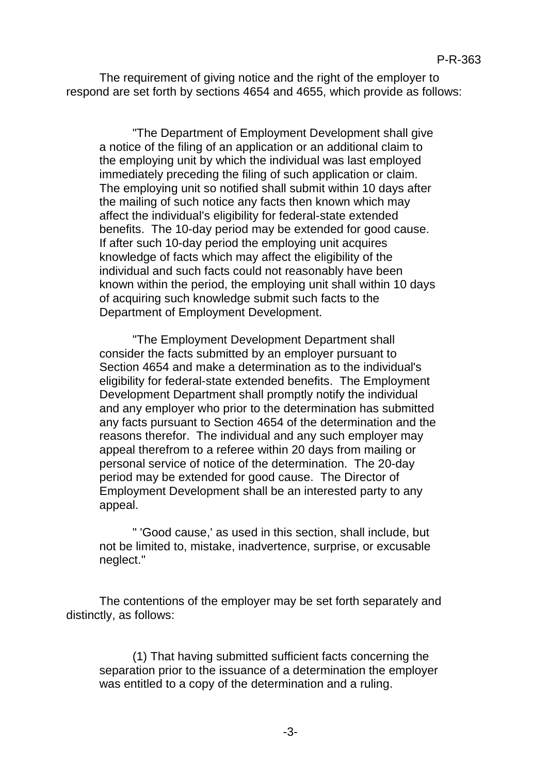The requirement of giving notice and the right of the employer to respond are set forth by sections 4654 and 4655, which provide as follows:

"The Department of Employment Development shall give a notice of the filing of an application or an additional claim to the employing unit by which the individual was last employed immediately preceding the filing of such application or claim. The employing unit so notified shall submit within 10 days after the mailing of such notice any facts then known which may affect the individual's eligibility for federal-state extended benefits. The 10-day period may be extended for good cause. If after such 10-day period the employing unit acquires knowledge of facts which may affect the eligibility of the individual and such facts could not reasonably have been known within the period, the employing unit shall within 10 days of acquiring such knowledge submit such facts to the Department of Employment Development.

"The Employment Development Department shall consider the facts submitted by an employer pursuant to Section 4654 and make a determination as to the individual's eligibility for federal-state extended benefits. The Employment Development Department shall promptly notify the individual and any employer who prior to the determination has submitted any facts pursuant to Section 4654 of the determination and the reasons therefor. The individual and any such employer may appeal therefrom to a referee within 20 days from mailing or personal service of notice of the determination. The 20-day period may be extended for good cause. The Director of Employment Development shall be an interested party to any appeal.

" 'Good cause,' as used in this section, shall include, but not be limited to, mistake, inadvertence, surprise, or excusable neglect."

The contentions of the employer may be set forth separately and distinctly, as follows:

(1) That having submitted sufficient facts concerning the separation prior to the issuance of a determination the employer was entitled to a copy of the determination and a ruling.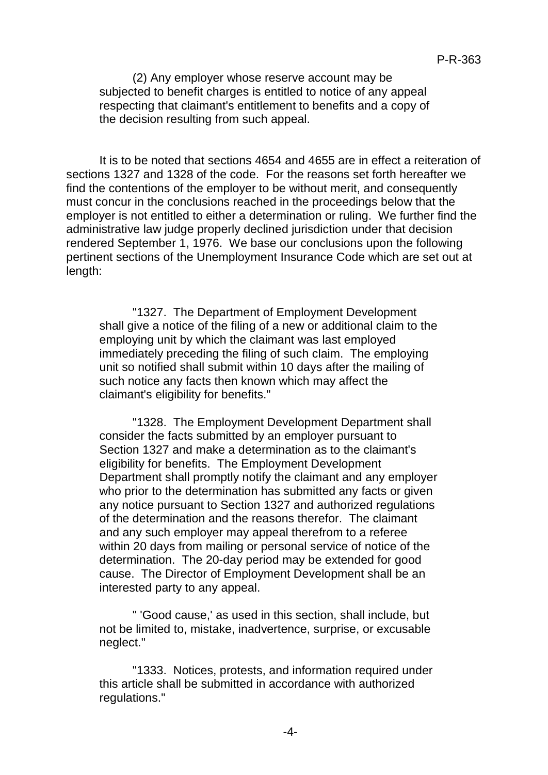(2) Any employer whose reserve account may be subjected to benefit charges is entitled to notice of any appeal respecting that claimant's entitlement to benefits and a copy of the decision resulting from such appeal.

It is to be noted that sections 4654 and 4655 are in effect a reiteration of sections 1327 and 1328 of the code. For the reasons set forth hereafter we find the contentions of the employer to be without merit, and consequently must concur in the conclusions reached in the proceedings below that the employer is not entitled to either a determination or ruling. We further find the administrative law judge properly declined jurisdiction under that decision rendered September 1, 1976. We base our conclusions upon the following pertinent sections of the Unemployment Insurance Code which are set out at length:

"1327. The Department of Employment Development shall give a notice of the filing of a new or additional claim to the employing unit by which the claimant was last employed immediately preceding the filing of such claim. The employing unit so notified shall submit within 10 days after the mailing of such notice any facts then known which may affect the claimant's eligibility for benefits."

"1328. The Employment Development Department shall consider the facts submitted by an employer pursuant to Section 1327 and make a determination as to the claimant's eligibility for benefits. The Employment Development Department shall promptly notify the claimant and any employer who prior to the determination has submitted any facts or given any notice pursuant to Section 1327 and authorized regulations of the determination and the reasons therefor. The claimant and any such employer may appeal therefrom to a referee within 20 days from mailing or personal service of notice of the determination. The 20-day period may be extended for good cause. The Director of Employment Development shall be an interested party to any appeal.

" 'Good cause,' as used in this section, shall include, but not be limited to, mistake, inadvertence, surprise, or excusable neglect."

"1333. Notices, protests, and information required under this article shall be submitted in accordance with authorized regulations."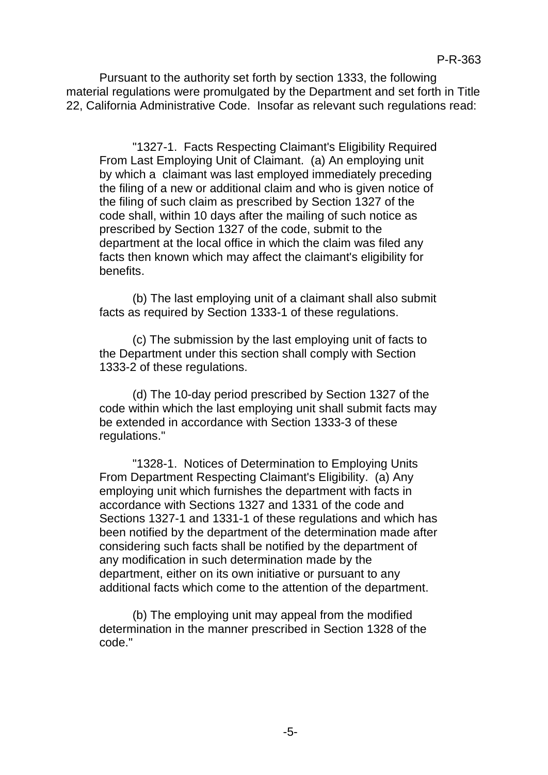Pursuant to the authority set forth by section 1333, the following material regulations were promulgated by the Department and set forth in Title 22, California Administrative Code. Insofar as relevant such regulations read:

"1327-1. Facts Respecting Claimant's Eligibility Required From Last Employing Unit of Claimant. (a) An employing unit by which a claimant was last employed immediately preceding the filing of a new or additional claim and who is given notice of the filing of such claim as prescribed by Section 1327 of the code shall, within 10 days after the mailing of such notice as prescribed by Section 1327 of the code, submit to the department at the local office in which the claim was filed any facts then known which may affect the claimant's eligibility for benefits.

(b) The last employing unit of a claimant shall also submit facts as required by Section 1333-1 of these regulations.

(c) The submission by the last employing unit of facts to the Department under this section shall comply with Section 1333-2 of these regulations.

(d) The 10-day period prescribed by Section 1327 of the code within which the last employing unit shall submit facts may be extended in accordance with Section 1333-3 of these regulations."

"1328-1. Notices of Determination to Employing Units From Department Respecting Claimant's Eligibility. (a) Any employing unit which furnishes the department with facts in accordance with Sections 1327 and 1331 of the code and Sections 1327-1 and 1331-1 of these regulations and which has been notified by the department of the determination made after considering such facts shall be notified by the department of any modification in such determination made by the department, either on its own initiative or pursuant to any additional facts which come to the attention of the department.

(b) The employing unit may appeal from the modified determination in the manner prescribed in Section 1328 of the code."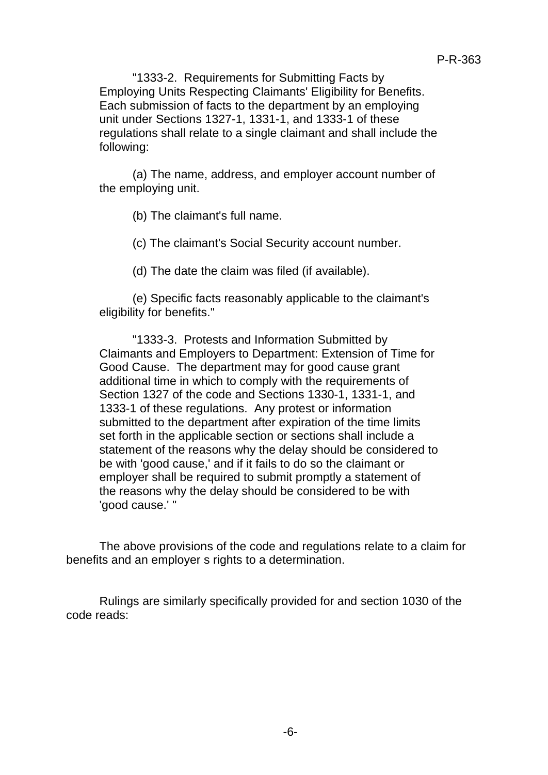"1333-2. Requirements for Submitting Facts by Employing Units Respecting Claimants' Eligibility for Benefits. Each submission of facts to the department by an employing unit under Sections 1327-1, 1331-1, and 1333-1 of these regulations shall relate to a single claimant and shall include the following:

(a) The name, address, and employer account number of the employing unit.

(b) The claimant's full name.

(c) The claimant's Social Security account number.

(d) The date the claim was filed (if available).

(e) Specific facts reasonably applicable to the claimant's eligibility for benefits."

"1333-3. Protests and Information Submitted by Claimants and Employers to Department: Extension of Time for Good Cause. The department may for good cause grant additional time in which to comply with the requirements of Section 1327 of the code and Sections 1330-1, 1331-1, and 1333-1 of these regulations. Any protest or information submitted to the department after expiration of the time limits set forth in the applicable section or sections shall include a statement of the reasons why the delay should be considered to be with 'good cause,' and if it fails to do so the claimant or employer shall be required to submit promptly a statement of the reasons why the delay should be considered to be with 'good cause.' "

The above provisions of the code and regulations relate to a claim for benefits and an employer s rights to a determination.

Rulings are similarly specifically provided for and section 1030 of the code reads: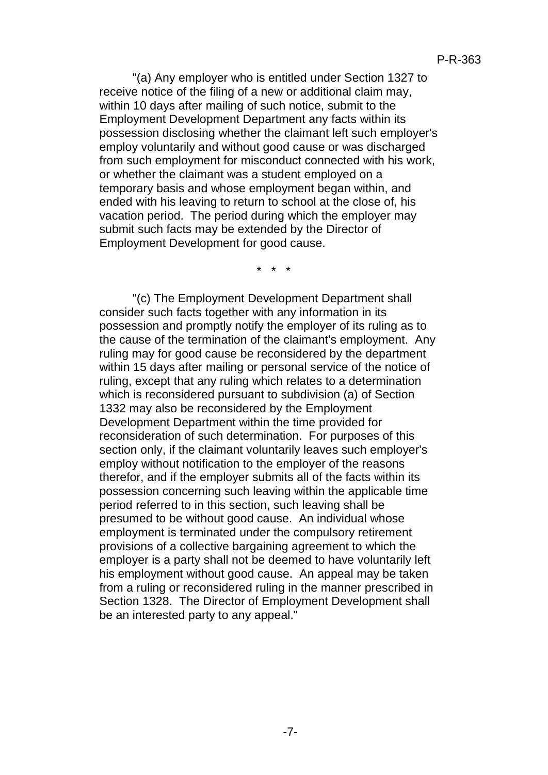"(a) Any employer who is entitled under Section 1327 to receive notice of the filing of a new or additional claim may, within 10 days after mailing of such notice, submit to the Employment Development Department any facts within its possession disclosing whether the claimant left such employer's employ voluntarily and without good cause or was discharged from such employment for misconduct connected with his work, or whether the claimant was a student employed on a temporary basis and whose employment began within, and ended with his leaving to return to school at the close of, his vacation period. The period during which the employer may submit such facts may be extended by the Director of Employment Development for good cause.

\* \* \*

"(c) The Employment Development Department shall consider such facts together with any information in its possession and promptly notify the employer of its ruling as to the cause of the termination of the claimant's employment. Any ruling may for good cause be reconsidered by the department within 15 days after mailing or personal service of the notice of ruling, except that any ruling which relates to a determination which is reconsidered pursuant to subdivision (a) of Section 1332 may also be reconsidered by the Employment Development Department within the time provided for reconsideration of such determination. For purposes of this section only, if the claimant voluntarily leaves such employer's employ without notification to the employer of the reasons therefor, and if the employer submits all of the facts within its possession concerning such leaving within the applicable time period referred to in this section, such leaving shall be presumed to be without good cause. An individual whose employment is terminated under the compulsory retirement provisions of a collective bargaining agreement to which the employer is a party shall not be deemed to have voluntarily left his employment without good cause. An appeal may be taken from a ruling or reconsidered ruling in the manner prescribed in Section 1328. The Director of Employment Development shall be an interested party to any appeal."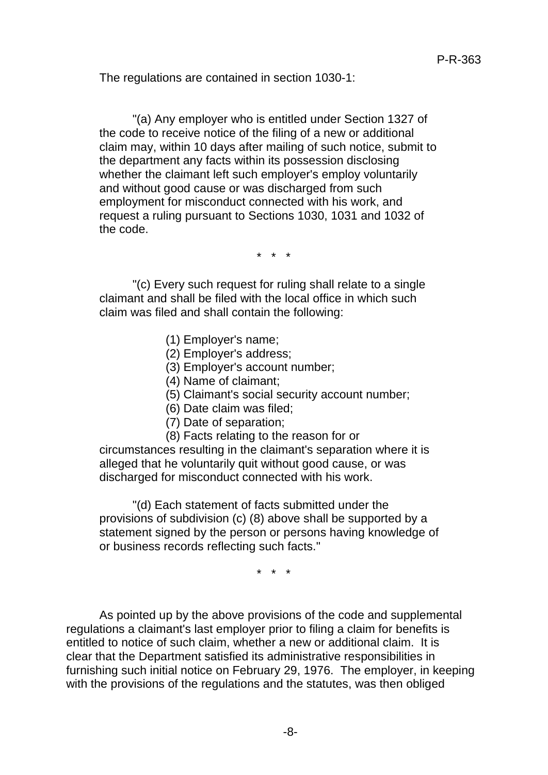The regulations are contained in section 1030-1:

"(a) Any employer who is entitled under Section 1327 of the code to receive notice of the filing of a new or additional claim may, within 10 days after mailing of such notice, submit to the department any facts within its possession disclosing whether the claimant left such employer's employ voluntarily and without good cause or was discharged from such employment for misconduct connected with his work, and request a ruling pursuant to Sections 1030, 1031 and 1032 of the code.

\* \* \*

"(c) Every such request for ruling shall relate to a single claimant and shall be filed with the local office in which such claim was filed and shall contain the following:

- (1) Employer's name;
- (2) Employer's address;
- (3) Employer's account number;
- (4) Name of claimant;
- (5) Claimant's social security account number;
- (6) Date claim was filed;
- (7) Date of separation;
- (8) Facts relating to the reason for or

circumstances resulting in the claimant's separation where it is alleged that he voluntarily quit without good cause, or was discharged for misconduct connected with his work.

"(d) Each statement of facts submitted under the provisions of subdivision (c) (8) above shall be supported by a statement signed by the person or persons having knowledge of or business records reflecting such facts."

\* \* \*

As pointed up by the above provisions of the code and supplemental regulations a claimant's last employer prior to filing a claim for benefits is entitled to notice of such claim, whether a new or additional claim. It is clear that the Department satisfied its administrative responsibilities in furnishing such initial notice on February 29, 1976. The employer, in keeping with the provisions of the regulations and the statutes, was then obliged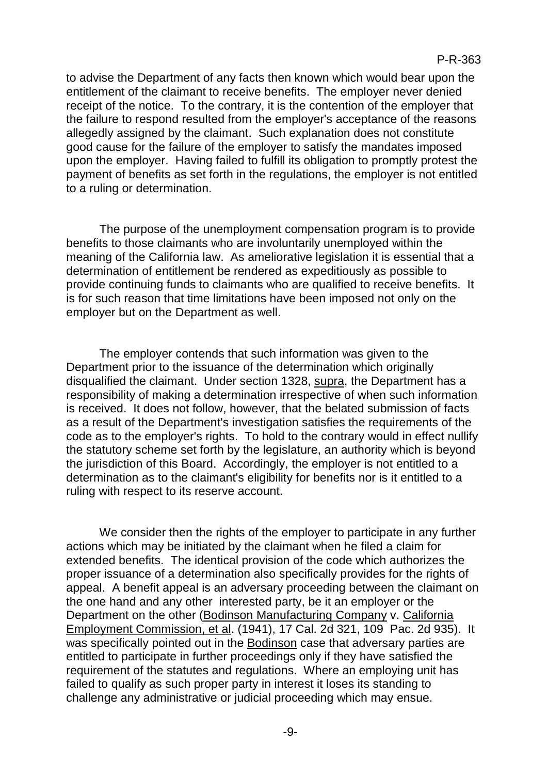to advise the Department of any facts then known which would bear upon the entitlement of the claimant to receive benefits. The employer never denied receipt of the notice. To the contrary, it is the contention of the employer that the failure to respond resulted from the employer's acceptance of the reasons allegedly assigned by the claimant. Such explanation does not constitute good cause for the failure of the employer to satisfy the mandates imposed upon the employer. Having failed to fulfill its obligation to promptly protest the payment of benefits as set forth in the regulations, the employer is not entitled to a ruling or determination.

The purpose of the unemployment compensation program is to provide benefits to those claimants who are involuntarily unemployed within the meaning of the California law. As ameliorative legislation it is essential that a determination of entitlement be rendered as expeditiously as possible to provide continuing funds to claimants who are qualified to receive benefits. It is for such reason that time limitations have been imposed not only on the employer but on the Department as well.

The employer contends that such information was given to the Department prior to the issuance of the determination which originally disqualified the claimant. Under section 1328, supra, the Department has a responsibility of making a determination irrespective of when such information is received. It does not follow, however, that the belated submission of facts as a result of the Department's investigation satisfies the requirements of the code as to the employer's rights. To hold to the contrary would in effect nullify the statutory scheme set forth by the legislature, an authority which is beyond the jurisdiction of this Board. Accordingly, the employer is not entitled to a determination as to the claimant's eligibility for benefits nor is it entitled to a ruling with respect to its reserve account.

We consider then the rights of the employer to participate in any further actions which may be initiated by the claimant when he filed a claim for extended benefits. The identical provision of the code which authorizes the proper issuance of a determination also specifically provides for the rights of appeal. A benefit appeal is an adversary proceeding between the claimant on the one hand and any other interested party, be it an employer or the Department on the other (Bodinson Manufacturing Company v. California Employment Commission, et al. (1941), 17 Cal. 2d 321, 109 Pac. 2d 935). It was specifically pointed out in the Bodinson case that adversary parties are entitled to participate in further proceedings only if they have satisfied the requirement of the statutes and regulations. Where an employing unit has failed to qualify as such proper party in interest it loses its standing to challenge any administrative or judicial proceeding which may ensue.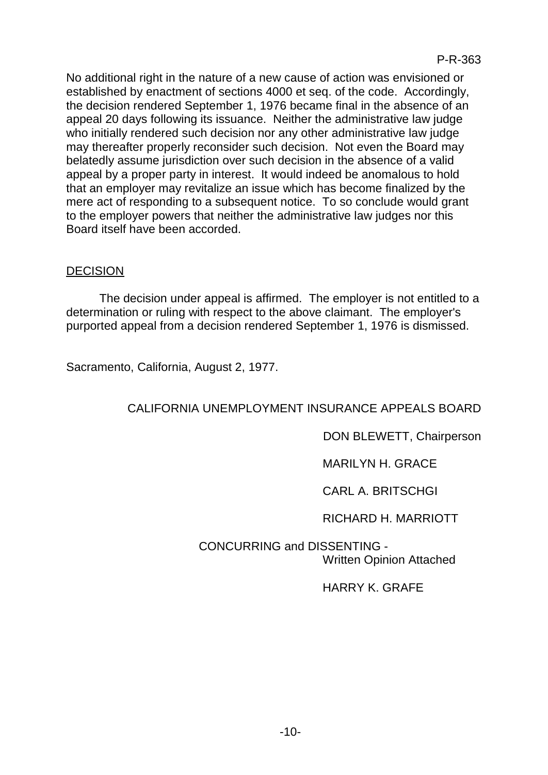No additional right in the nature of a new cause of action was envisioned or established by enactment of sections 4000 et seq. of the code. Accordingly, the decision rendered September 1, 1976 became final in the absence of an appeal 20 days following its issuance. Neither the administrative law judge who initially rendered such decision nor any other administrative law judge may thereafter properly reconsider such decision. Not even the Board may belatedly assume jurisdiction over such decision in the absence of a valid appeal by a proper party in interest. It would indeed be anomalous to hold that an employer may revitalize an issue which has become finalized by the mere act of responding to a subsequent notice. To so conclude would grant to the employer powers that neither the administrative law judges nor this Board itself have been accorded.

## **DECISION**

The decision under appeal is affirmed. The employer is not entitled to a determination or ruling with respect to the above claimant. The employer's purported appeal from a decision rendered September 1, 1976 is dismissed.

Sacramento, California, August 2, 1977.

# CALIFORNIA UNEMPLOYMENT INSURANCE APPEALS BOARD

## DON BLEWETT, Chairperson

## MARILYN H. GRACE

# CARL A. BRITSCHGI

## RICHARD H. MARRIOTT

# CONCURRING and DISSENTING - Written Opinion Attached

# HARRY K. GRAFE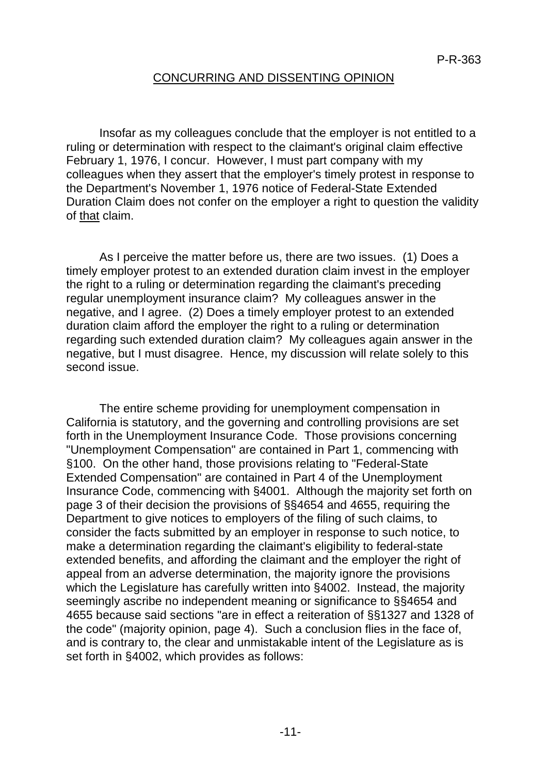#### CONCURRING AND DISSENTING OPINION

Insofar as my colleagues conclude that the employer is not entitled to a ruling or determination with respect to the claimant's original claim effective February 1, 1976, I concur. However, I must part company with my colleagues when they assert that the employer's timely protest in response to the Department's November 1, 1976 notice of Federal-State Extended Duration Claim does not confer on the employer a right to question the validity of that claim.

As I perceive the matter before us, there are two issues. (1) Does a timely employer protest to an extended duration claim invest in the employer the right to a ruling or determination regarding the claimant's preceding regular unemployment insurance claim? My colleagues answer in the negative, and I agree. (2) Does a timely employer protest to an extended duration claim afford the employer the right to a ruling or determination regarding such extended duration claim? My colleagues again answer in the negative, but I must disagree. Hence, my discussion will relate solely to this second issue.

The entire scheme providing for unemployment compensation in California is statutory, and the governing and controlling provisions are set forth in the Unemployment Insurance Code. Those provisions concerning "Unemployment Compensation" are contained in Part 1, commencing with §100. On the other hand, those provisions relating to "Federal-State Extended Compensation" are contained in Part 4 of the Unemployment Insurance Code, commencing with §4001. Although the majority set forth on page 3 of their decision the provisions of §§4654 and 4655, requiring the Department to give notices to employers of the filing of such claims, to consider the facts submitted by an employer in response to such notice, to make a determination regarding the claimant's eligibility to federal-state extended benefits, and affording the claimant and the employer the right of appeal from an adverse determination, the majority ignore the provisions which the Legislature has carefully written into §4002. Instead, the majority seemingly ascribe no independent meaning or significance to §§4654 and 4655 because said sections "are in effect a reiteration of §§1327 and 1328 of the code" (majority opinion, page 4). Such a conclusion flies in the face of, and is contrary to, the clear and unmistakable intent of the Legislature as is set forth in §4002, which provides as follows: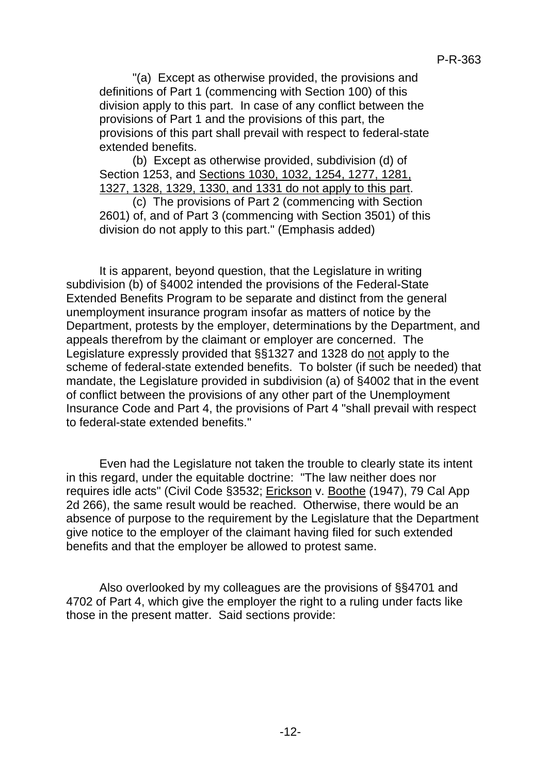"(a) Except as otherwise provided, the provisions and definitions of Part 1 (commencing with Section 100) of this division apply to this part. In case of any conflict between the provisions of Part 1 and the provisions of this part, the provisions of this part shall prevail with respect to federal-state extended benefits.

(b) Except as otherwise provided, subdivision (d) of Section 1253, and Sections 1030, 1032, 1254, 1277, 1281, 1327, 1328, 1329, 1330, and 1331 do not apply to this part.

(c) The provisions of Part 2 (commencing with Section 2601) of, and of Part 3 (commencing with Section 3501) of this division do not apply to this part." (Emphasis added)

It is apparent, beyond question, that the Legislature in writing subdivision (b) of §4002 intended the provisions of the Federal-State Extended Benefits Program to be separate and distinct from the general unemployment insurance program insofar as matters of notice by the Department, protests by the employer, determinations by the Department, and appeals therefrom by the claimant or employer are concerned. The Legislature expressly provided that §§1327 and 1328 do not apply to the scheme of federal-state extended benefits. To bolster (if such be needed) that mandate, the Legislature provided in subdivision (a) of §4002 that in the event of conflict between the provisions of any other part of the Unemployment Insurance Code and Part 4, the provisions of Part 4 "shall prevail with respect to federal-state extended benefits."

Even had the Legislature not taken the trouble to clearly state its intent in this regard, under the equitable doctrine: "The law neither does nor requires idle acts" (Civil Code §3532; Erickson v. Boothe (1947), 79 Cal App 2d 266), the same result would be reached. Otherwise, there would be an absence of purpose to the requirement by the Legislature that the Department give notice to the employer of the claimant having filed for such extended benefits and that the employer be allowed to protest same.

Also overlooked by my colleagues are the provisions of §§4701 and 4702 of Part 4, which give the employer the right to a ruling under facts like those in the present matter. Said sections provide: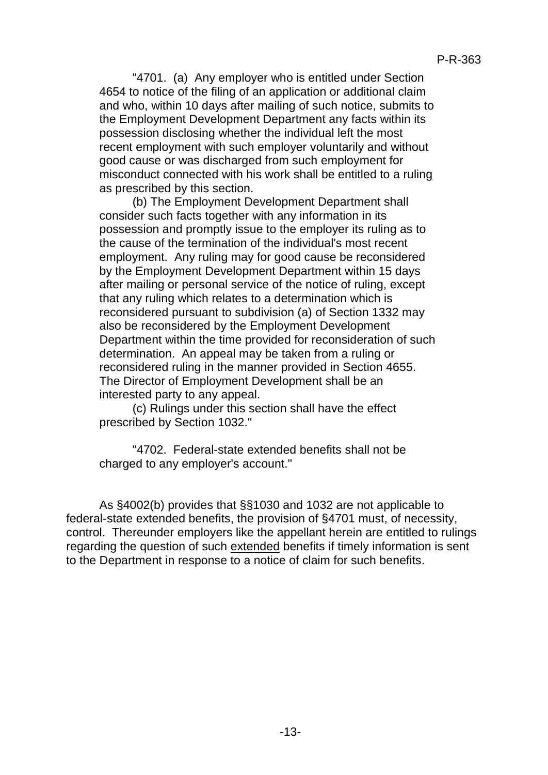"4701. (a) Any employer who is entitled under Section 4654 to notice of the filing of an application or additional claim and who, within 10 days after mailing of such notice, submits to the Employment Development Department any facts within its possession disclosing whether the individual left the most recent employment with such employer voluntarily and without good cause or was discharged from such employment for misconduct connected with his work shall be entitled to a ruling as prescribed by this section.

(b) The Employment Development Department shall consider such facts together with any information in its possession and promptly issue to the employer its ruling as to the cause of the termination of the individual's most recent employment. Any ruling may for good cause be reconsidered by the Employment Development Department within 15 days after mailing or personal service of the notice of ruling, except that any ruling which relates to a determination which is reconsidered pursuant to subdivision (a) of Section 1332 may also be reconsidered by the Employment Development Department within the time provided for reconsideration of such determination. An appeal may be taken from a ruling or reconsidered ruling in the manner provided in Section 4655. The Director of Employment Development shall be an interested party to any appeal.

(c) Rulings under this section shall have the effect prescribed by Section 1032."

"4702. Federal-state extended benefits shall not be charged to any employer's account."

As §4002(b) provides that §§1030 and 1032 are not applicable to federal-state extended benefits, the provision of §4701 must, of necessity, control. Thereunder employers like the appellant herein are entitled to rulings regarding the question of such extended benefits if timely information is sent to the Department in response to a notice of claim for such benefits.